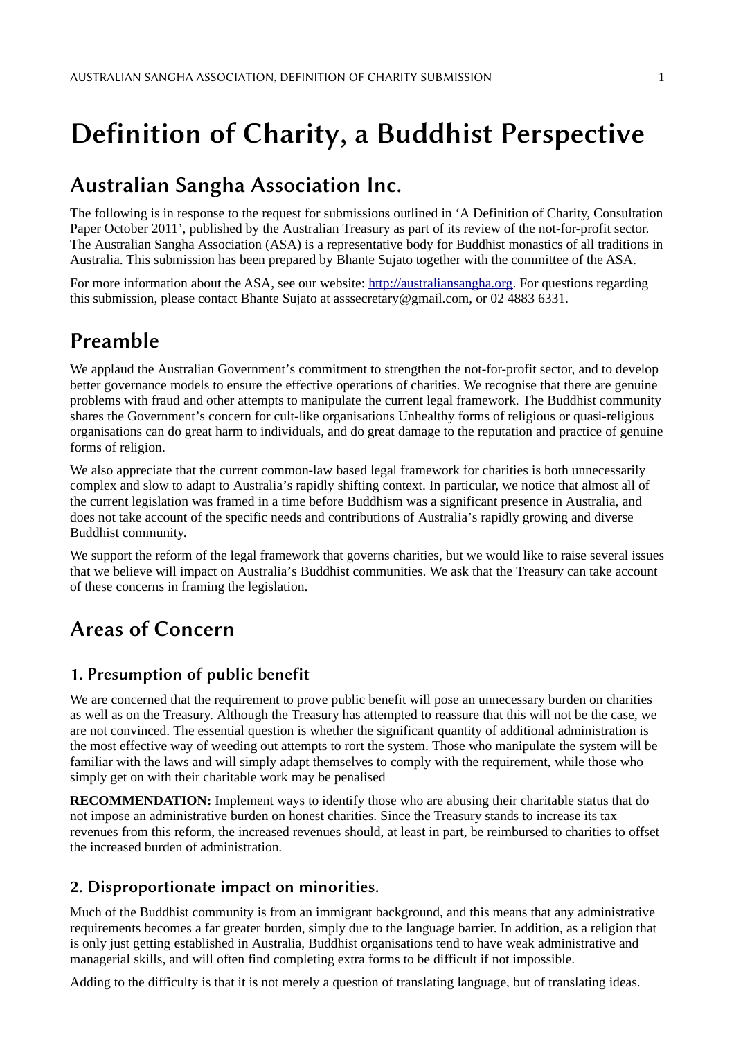# Definition of Charity, a Buddhist Perspective

## Australian Sangha Association Inc.

The following is in response to the request for submissions outlined in 'A Definition of Charity, Consultation Paper October 2011', published by the Australian Treasury as part of its review of the not-for-profit sector. The Australian Sangha Association (ASA) is a representative body for Buddhist monastics of all traditions in Australia. This submission has been prepared by Bhante Sujato together with the committee of the ASA.

For more information about the ASA, see our website: [http://australiansangha.org.](http://australiansangha.org/) For questions regarding this submission, please contact Bhante Sujato at asssecretary@gmail.com, or 02 4883 6331.

### Preamble

We applaud the Australian Government's commitment to strengthen the not-for-profit sector, and to develop better governance models to ensure the effective operations of charities. We recognise that there are genuine problems with fraud and other attempts to manipulate the current legal framework. The Buddhist community shares the Government's concern for cult-like organisations Unhealthy forms of religious or quasi-religious organisations can do great harm to individuals, and do great damage to the reputation and practice of genuine forms of religion.

We also appreciate that the current common-law based legal framework for charities is both unnecessarily complex and slow to adapt to Australia's rapidly shifting context. In particular, we notice that almost all of the current legislation was framed in a time before Buddhism was a significant presence in Australia, and does not take account of the specific needs and contributions of Australia's rapidly growing and diverse Buddhist community.

We support the reform of the legal framework that governs charities, but we would like to raise several issues that we believe will impact on Australia's Buddhist communities. We ask that the Treasury can take account of these concerns in framing the legislation.

### Areas of Concern

### 1. Presumption of public benefit

We are concerned that the requirement to prove public benefit will pose an unnecessary burden on charities as well as on the Treasury. Although the Treasury has attempted to reassure that this will not be the case, we are not convinced. The essential question is whether the significant quantity of additional administration is the most effective way of weeding out attempts to rort the system. Those who manipulate the system will be familiar with the laws and will simply adapt themselves to comply with the requirement, while those who simply get on with their charitable work may be penalised

**RECOMMENDATION:** Implement ways to identify those who are abusing their charitable status that do not impose an administrative burden on honest charities. Since the Treasury stands to increase its tax revenues from this reform, the increased revenues should, at least in part, be reimbursed to charities to offset the increased burden of administration.

#### 2. Disproportionate impact on minorities.

Much of the Buddhist community is from an immigrant background, and this means that any administrative requirements becomes a far greater burden, simply due to the language barrier. In addition, as a religion that is only just getting established in Australia, Buddhist organisations tend to have weak administrative and managerial skills, and will often find completing extra forms to be difficult if not impossible.

Adding to the difficulty is that it is not merely a question of translating language, but of translating ideas.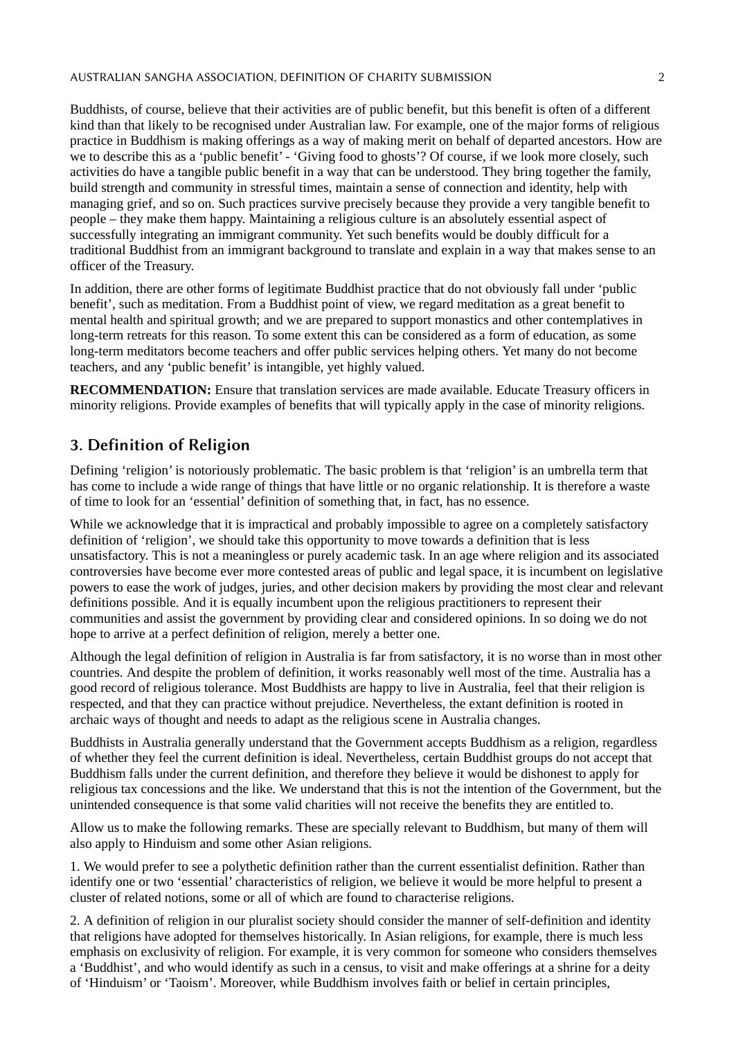#### AUSTRALIAN SANGHA ASSOCIATION, DEFINITION OF CHARITY SUBMISSION 2

Buddhists, of course, believe that their activities are of public benefit, but this benefit is often of a different kind than that likely to be recognised under Australian law. For example, one of the major forms of religious practice in Buddhism is making offerings as a way of making merit on behalf of departed ancestors. How are we to describe this as a 'public benefit' - 'Giving food to ghosts'? Of course, if we look more closely, such activities do have a tangible public benefit in a way that can be understood. They bring together the family, build strength and community in stressful times, maintain a sense of connection and identity, help with managing grief, and so on. Such practices survive precisely because they provide a very tangible benefit to people – they make them happy. Maintaining a religious culture is an absolutely essential aspect of successfully integrating an immigrant community. Yet such benefits would be doubly difficult for a traditional Buddhist from an immigrant background to translate and explain in a way that makes sense to an officer of the Treasury.

In addition, there are other forms of legitimate Buddhist practice that do not obviously fall under 'public benefit', such as meditation. From a Buddhist point of view, we regard meditation as a great benefit to mental health and spiritual growth; and we are prepared to support monastics and other contemplatives in long-term retreats for this reason. To some extent this can be considered as a form of education, as some long-term meditators become teachers and offer public services helping others. Yet many do not become teachers, and any 'public benefit' is intangible, yet highly valued.

**RECOMMENDATION:** Ensure that translation services are made available. Educate Treasury officers in minority religions. Provide examples of benefits that will typically apply in the case of minority religions.

#### 3. Definition of Religion

Defining 'religion' is notoriously problematic. The basic problem is that 'religion' is an umbrella term that has come to include a wide range of things that have little or no organic relationship. It is therefore a waste of time to look for an 'essential' definition of something that, in fact, has no essence.

While we acknowledge that it is impractical and probably impossible to agree on a completely satisfactory definition of 'religion', we should take this opportunity to move towards a definition that is less unsatisfactory. This is not a meaningless or purely academic task. In an age where religion and its associated controversies have become ever more contested areas of public and legal space, it is incumbent on legislative powers to ease the work of judges, juries, and other decision makers by providing the most clear and relevant definitions possible. And it is equally incumbent upon the religious practitioners to represent their communities and assist the government by providing clear and considered opinions. In so doing we do not hope to arrive at a perfect definition of religion, merely a better one.

Although the legal definition of religion in Australia is far from satisfactory, it is no worse than in most other countries. And despite the problem of definition, it works reasonably well most of the time. Australia has a good record of religious tolerance. Most Buddhists are happy to live in Australia, feel that their religion is respected, and that they can practice without prejudice. Nevertheless, the extant definition is rooted in archaic ways of thought and needs to adapt as the religious scene in Australia changes.

Buddhists in Australia generally understand that the Government accepts Buddhism as a religion, regardless of whether they feel the current definition is ideal. Nevertheless, certain Buddhist groups do not accept that Buddhism falls under the current definition, and therefore they believe it would be dishonest to apply for religious tax concessions and the like. We understand that this is not the intention of the Government, but the unintended consequence is that some valid charities will not receive the benefits they are entitled to.

Allow us to make the following remarks. These are specially relevant to Buddhism, but many of them will also apply to Hinduism and some other Asian religions.

1. We would prefer to see a polythetic definition rather than the current essentialist definition. Rather than identify one or two 'essential' characteristics of religion, we believe it would be more helpful to present a cluster of related notions, some or all of which are found to characterise religions.

2. A definition of religion in our pluralist society should consider the manner of self-definition and identity that religions have adopted for themselves historically. In Asian religions, for example, there is much less emphasis on exclusivity of religion. For example, it is very common for someone who considers themselves a 'Buddhist', and who would identify as such in a census, to visit and make offerings at a shrine for a deity of 'Hinduism' or 'Taoism'. Moreover, while Buddhism involves faith or belief in certain principles,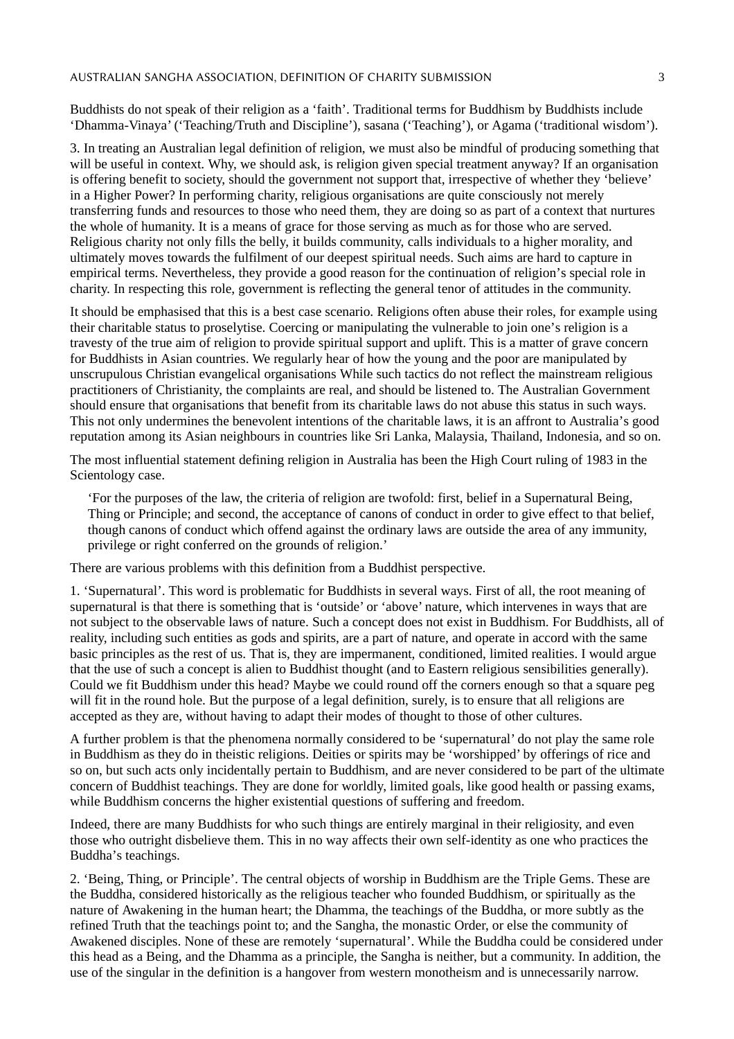Buddhists do not speak of their religion as a 'faith'. Traditional terms for Buddhism by Buddhists include 'Dhamma-Vinaya' ('Teaching/Truth and Discipline'), sasana ('Teaching'), or Agama ('traditional wisdom').

3. In treating an Australian legal definition of religion, we must also be mindful of producing something that will be useful in context. Why, we should ask, is religion given special treatment anyway? If an organisation is offering benefit to society, should the government not support that, irrespective of whether they 'believe' in a Higher Power? In performing charity, religious organisations are quite consciously not merely transferring funds and resources to those who need them, they are doing so as part of a context that nurtures the whole of humanity. It is a means of grace for those serving as much as for those who are served. Religious charity not only fills the belly, it builds community, calls individuals to a higher morality, and ultimately moves towards the fulfilment of our deepest spiritual needs. Such aims are hard to capture in empirical terms. Nevertheless, they provide a good reason for the continuation of religion's special role in charity. In respecting this role, government is reflecting the general tenor of attitudes in the community.

It should be emphasised that this is a best case scenario. Religions often abuse their roles, for example using their charitable status to proselytise. Coercing or manipulating the vulnerable to join one's religion is a travesty of the true aim of religion to provide spiritual support and uplift. This is a matter of grave concern for Buddhists in Asian countries. We regularly hear of how the young and the poor are manipulated by unscrupulous Christian evangelical organisations While such tactics do not reflect the mainstream religious practitioners of Christianity, the complaints are real, and should be listened to. The Australian Government should ensure that organisations that benefit from its charitable laws do not abuse this status in such ways. This not only undermines the benevolent intentions of the charitable laws, it is an affront to Australia's good reputation among its Asian neighbours in countries like Sri Lanka, Malaysia, Thailand, Indonesia, and so on.

The most influential statement defining religion in Australia has been the High Court ruling of 1983 in the Scientology case.

'For the purposes of the law, the criteria of religion are twofold: first, belief in a Supernatural Being, Thing or Principle; and second, the acceptance of canons of conduct in order to give effect to that belief, though canons of conduct which offend against the ordinary laws are outside the area of any immunity, privilege or right conferred on the grounds of religion.'

There are various problems with this definition from a Buddhist perspective.

1. 'Supernatural'. This word is problematic for Buddhists in several ways. First of all, the root meaning of supernatural is that there is something that is 'outside' or 'above' nature, which intervenes in ways that are not subject to the observable laws of nature. Such a concept does not exist in Buddhism. For Buddhists, all of reality, including such entities as gods and spirits, are a part of nature, and operate in accord with the same basic principles as the rest of us. That is, they are impermanent, conditioned, limited realities. I would argue that the use of such a concept is alien to Buddhist thought (and to Eastern religious sensibilities generally). Could we fit Buddhism under this head? Maybe we could round off the corners enough so that a square peg will fit in the round hole. But the purpose of a legal definition, surely, is to ensure that all religions are accepted as they are, without having to adapt their modes of thought to those of other cultures.

A further problem is that the phenomena normally considered to be 'supernatural' do not play the same role in Buddhism as they do in theistic religions. Deities or spirits may be 'worshipped' by offerings of rice and so on, but such acts only incidentally pertain to Buddhism, and are never considered to be part of the ultimate concern of Buddhist teachings. They are done for worldly, limited goals, like good health or passing exams, while Buddhism concerns the higher existential questions of suffering and freedom.

Indeed, there are many Buddhists for who such things are entirely marginal in their religiosity, and even those who outright disbelieve them. This in no way affects their own self-identity as one who practices the Buddha's teachings.

2. 'Being, Thing, or Principle'. The central objects of worship in Buddhism are the Triple Gems. These are the Buddha, considered historically as the religious teacher who founded Buddhism, or spiritually as the nature of Awakening in the human heart; the Dhamma, the teachings of the Buddha, or more subtly as the refined Truth that the teachings point to; and the Sangha, the monastic Order, or else the community of Awakened disciples. None of these are remotely 'supernatural'. While the Buddha could be considered under this head as a Being, and the Dhamma as a principle, the Sangha is neither, but a community. In addition, the use of the singular in the definition is a hangover from western monotheism and is unnecessarily narrow.